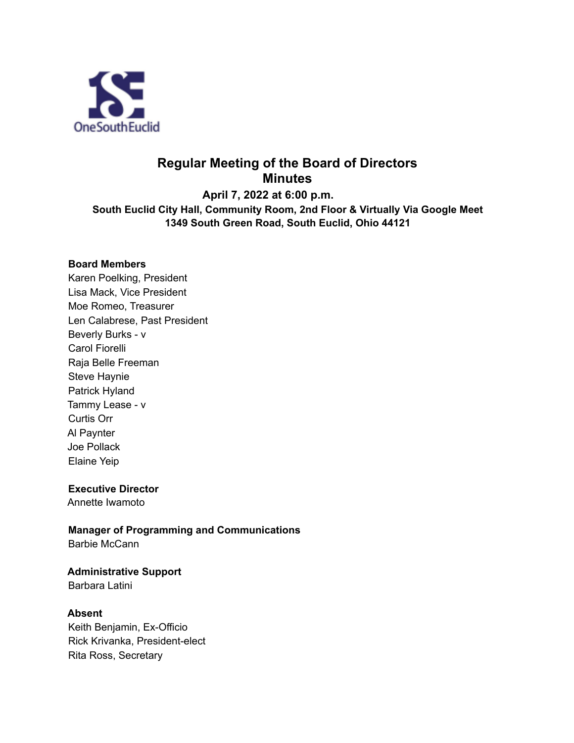

# **Regular Meeting of the Board of Directors Minutes**

**April 7, 2022 at 6:00 p.m. South Euclid City Hall, Community Room, 2nd Floor & Virtually Via Google Meet 1349 South Green Road, South Euclid, Ohio 44121**

#### **Board Members**

Karen Poelking, President Lisa Mack, Vice President Moe Romeo, Treasurer Len Calabrese, Past President Beverly Burks - v Carol Fiorelli Raja Belle Freeman Steve Haynie Patrick Hyland Tammy Lease - v Curtis Orr Al Paynter Joe Pollack Elaine Yeip

#### **Executive Director**

Annette Iwamoto

## **Manager of Programming and Communications**

Barbie McCann

## **Administrative Support**

Barbara Latini

#### **Absent**

Keith Benjamin, Ex-Officio Rick Krivanka, President-elect Rita Ross, Secretary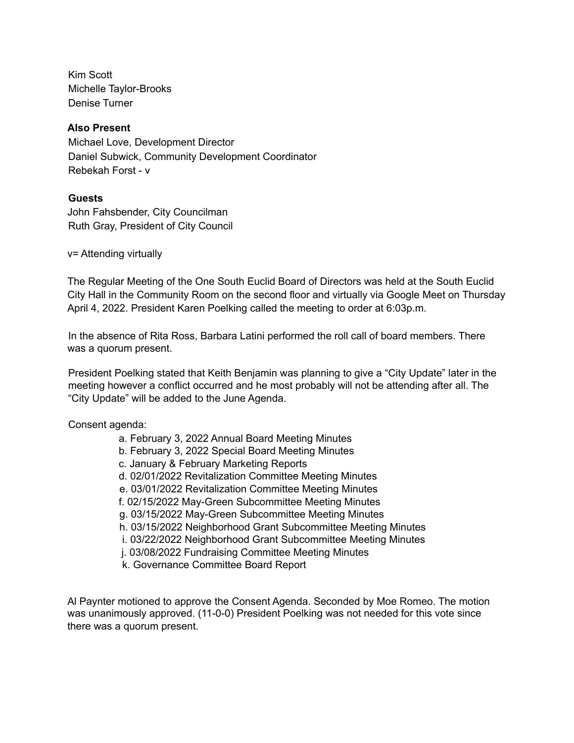Kim Scott Michelle Taylor-Brooks Denise Turner

#### **Also Present**

Michael Love, Development Director Daniel Subwick, Community Development Coordinator Rebekah Forst - v

#### **Guests**

John Fahsbender, City Councilman Ruth Gray, President of City Council

v= Attending virtually

The Regular Meeting of the One South Euclid Board of Directors was held at the South Euclid City Hall in the Community Room on the second floor and virtually via Google Meet on Thursday April 4, 2022. President Karen Poelking called the meeting to order at 6:03p.m.

In the absence of Rita Ross, Barbara Latini performed the roll call of board members. There was a quorum present.

President Poelking stated that Keith Benjamin was planning to give a "City Update" later in the meeting however a conflict occurred and he most probably will not be attending after all. The "City Update" will be added to the June Agenda.

#### Consent agenda:

a. February 3, 2022 Annual Board Meeting Minutes b. February 3, 2022 Special Board Meeting Minutes c. January & February Marketing Reports d. 02/01/2022 Revitalization Committee Meeting Minutes e. 03/01/2022 Revitalization Committee Meeting Minutes f. 02/15/2022 May-Green Subcommittee Meeting Minutes g. 03/15/2022 May-Green Subcommittee Meeting Minutes h. 03/15/2022 Neighborhood Grant Subcommittee Meeting Minutes i. 03/22/2022 Neighborhood Grant Subcommittee Meeting Minutes j. 03/08/2022 Fundraising Committee Meeting Minutes k. Governance Committee Board Report

Al Paynter motioned to approve the Consent Agenda. Seconded by Moe Romeo. The motion was unanimously approved. (11-0-0) President Poelking was not needed for this vote since there was a quorum present.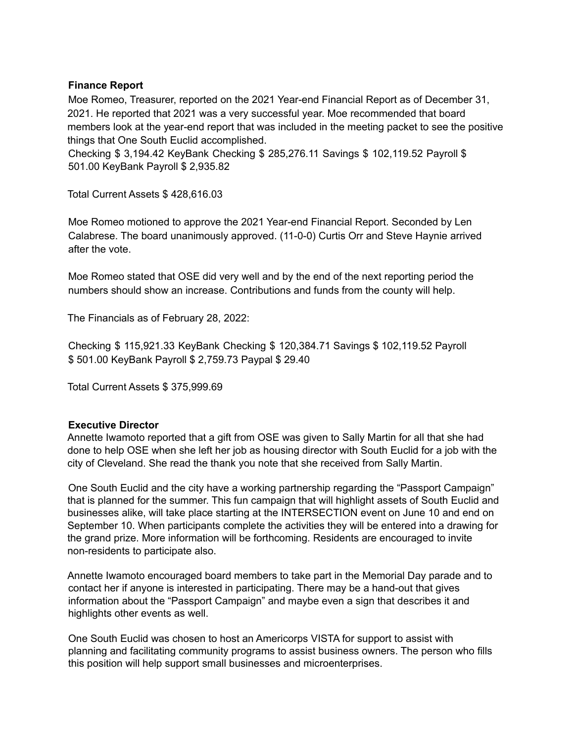#### **Finance Report**

Moe Romeo, Treasurer, reported on the 2021 Year-end Financial Report as of December 31, 2021. He reported that 2021 was a very successful year. Moe recommended that board members look at the year-end report that was included in the meeting packet to see the positive things that One South Euclid accomplished.

Checking \$ 3,194.42 KeyBank Checking \$ 285,276.11 Savings \$ 102,119.52 Payroll \$ 501.00 KeyBank Payroll \$ 2,935.82

Total Current Assets \$ 428,616.03

Moe Romeo motioned to approve the 2021 Year-end Financial Report. Seconded by Len Calabrese. The board unanimously approved. (11-0-0) Curtis Orr and Steve Haynie arrived after the vote.

Moe Romeo stated that OSE did very well and by the end of the next reporting period the numbers should show an increase. Contributions and funds from the county will help.

The Financials as of February 28, 2022:

Checking \$ 115,921.33 KeyBank Checking \$ 120,384.71 Savings \$ 102,119.52 Payroll \$ 501.00 KeyBank Payroll \$ 2,759.73 Paypal \$ 29.40

Total Current Assets \$ 375,999.69

#### **Executive Director**

Annette Iwamoto reported that a gift from OSE was given to Sally Martin for all that she had done to help OSE when she left her job as housing director with South Euclid for a job with the city of Cleveland. She read the thank you note that she received from Sally Martin.

One South Euclid and the city have a working partnership regarding the "Passport Campaign" that is planned for the summer. This fun campaign that will highlight assets of South Euclid and businesses alike, will take place starting at the INTERSECTION event on June 10 and end on September 10. When participants complete the activities they will be entered into a drawing for the grand prize. More information will be forthcoming. Residents are encouraged to invite non-residents to participate also.

Annette Iwamoto encouraged board members to take part in the Memorial Day parade and to contact her if anyone is interested in participating. There may be a hand-out that gives information about the "Passport Campaign" and maybe even a sign that describes it and highlights other events as well.

One South Euclid was chosen to host an Americorps VISTA for support to assist with planning and facilitating community programs to assist business owners. The person who fills this position will help support small businesses and microenterprises.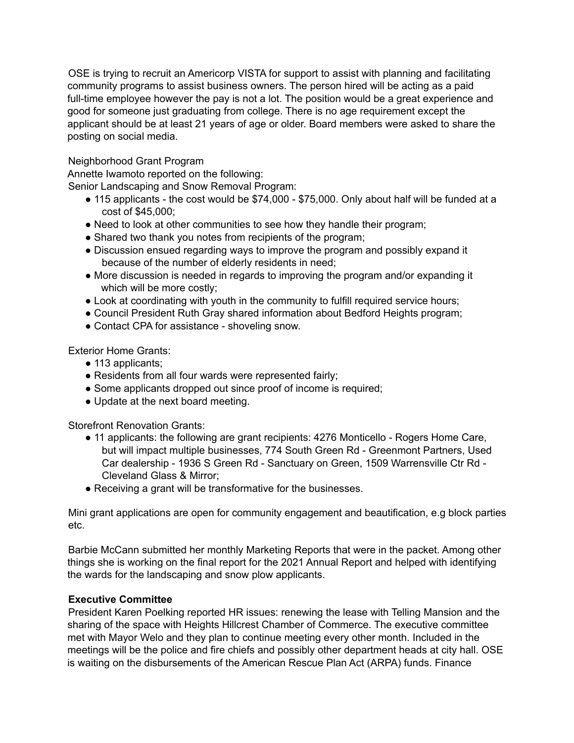OSE is trying to recruit an Americorp VISTA for support to assist with planning and facilitating community programs to assist business owners. The person hired will be acting as a paid full-time employee however the pay is not a lot. The position would be a great experience and good for someone just graduating from college. There is no age requirement except the applicant should be at least 21 years of age or older. Board members were asked to share the posting on social media.

#### Neighborhood Grant Program

Annette Iwamoto reported on the following:

Senior Landscaping and Snow Removal Program:

- 115 applicants the cost would be \$74,000 \$75,000. Only about half will be funded at a cost of \$45,000;
- Need to look at other communities to see how they handle their program;
- Shared two thank you notes from recipients of the program;
- Discussion ensued regarding ways to improve the program and possibly expand it because of the number of elderly residents in need;
- More discussion is needed in regards to improving the program and/or expanding it which will be more costly;
- Look at coordinating with youth in the community to fulfill required service hours;
- Council President Ruth Gray shared information about Bedford Heights program;
- Contact CPA for assistance shoveling snow.

Exterior Home Grants:

- 113 applicants:
- Residents from all four wards were represented fairly;
- Some applicants dropped out since proof of income is required;
- Update at the next board meeting.

Storefront Renovation Grants:

- 11 applicants: the following are grant recipients: 4276 Monticello Rogers Home Care, but will impact multiple businesses, 774 South Green Rd - Greenmont Partners, Used Car dealership - 1936 S Green Rd - Sanctuary on Green, 1509 Warrensville Ctr Rd - Cleveland Glass & Mirror;
- Receiving a grant will be transformative for the businesses.

Mini grant applications are open for community engagement and beautification, e.g block parties etc.

Barbie McCann submitted her monthly Marketing Reports that were in the packet. Among other things she is working on the final report for the 2021 Annual Report and helped with identifying the wards for the landscaping and snow plow applicants.

#### **Executive Committee**

President Karen Poelking reported HR issues: renewing the lease with Telling Mansion and the sharing of the space with Heights Hillcrest Chamber of Commerce. The executive committee met with Mayor Welo and they plan to continue meeting every other month. Included in the meetings will be the police and fire chiefs and possibly other department heads at city hall. OSE is waiting on the disbursements of the American Rescue Plan Act (ARPA) funds. Finance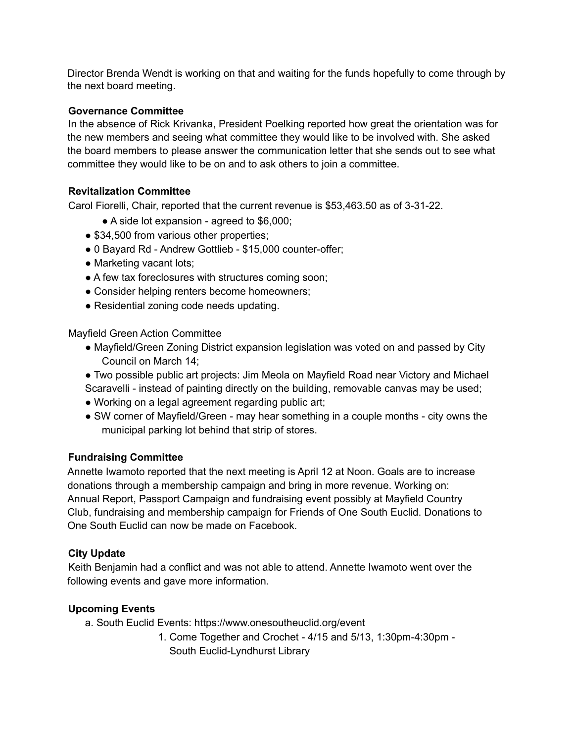Director Brenda Wendt is working on that and waiting for the funds hopefully to come through by the next board meeting.

### **Governance Committee**

In the absence of Rick Krivanka, President Poelking reported how great the orientation was for the new members and seeing what committee they would like to be involved with. She asked the board members to please answer the communication letter that she sends out to see what committee they would like to be on and to ask others to join a committee.

## **Revitalization Committee**

Carol Fiorelli, Chair, reported that the current revenue is \$53,463.50 as of 3-31-22.

- A side lot expansion agreed to \$6,000;
- \$34,500 from various other properties;
- 0 Bayard Rd Andrew Gottlieb \$15,000 counter-offer;
- Marketing vacant lots;
- A few tax foreclosures with structures coming soon;
- Consider helping renters become homeowners;
- Residential zoning code needs updating.

Mayfield Green Action Committee

- Mayfield/Green Zoning District expansion legislation was voted on and passed by City Council on March 14;
- Two possible public art projects: Jim Meola on Mayfield Road near Victory and Michael Scaravelli - instead of painting directly on the building, removable canvas may be used;
- Working on a legal agreement regarding public art;
- SW corner of Mayfield/Green may hear something in a couple months city owns the municipal parking lot behind that strip of stores.

#### **Fundraising Committee**

Annette Iwamoto reported that the next meeting is April 12 at Noon. Goals are to increase donations through a membership campaign and bring in more revenue. Working on: Annual Report, Passport Campaign and fundraising event possibly at Mayfield Country Club, fundraising and membership campaign for Friends of One South Euclid. Donations to One South Euclid can now be made on Facebook.

#### **City Update**

Keith Benjamin had a conflict and was not able to attend. Annette Iwamoto went over the following events and gave more information.

#### **Upcoming Events**

- a. South Euclid Events: https://www.onesoutheuclid.org/event
	- 1. Come Together and Crochet 4/15 and 5/13, 1:30pm-4:30pm South Euclid-Lyndhurst Library